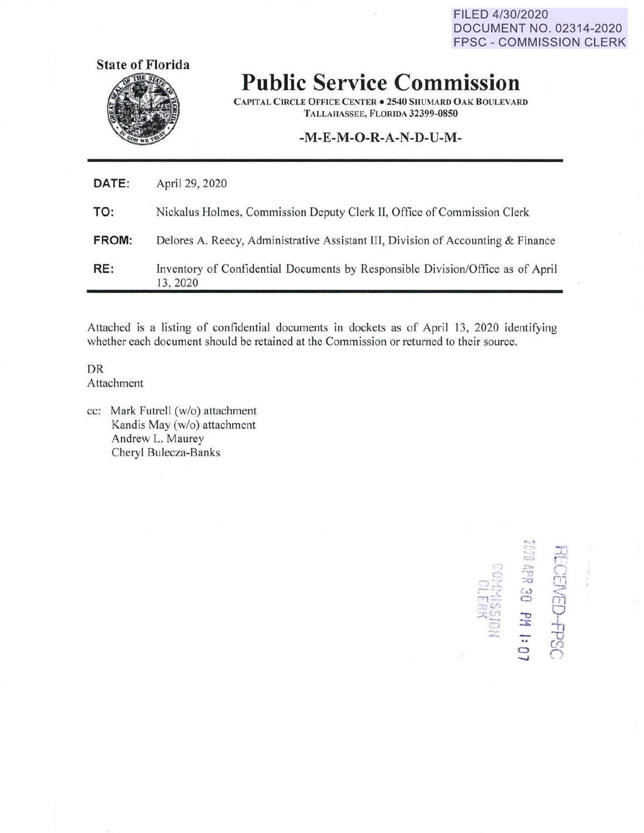FILED 4/30/2020 **DOCUMENT NO. 02314-2020 FPSC - COMMISSION CLERK** 



**Public Service Commission** 

**CAPITAL CIRCLE OFFICE CENTER . 2540 SHUMARD OAK BOULEVARD** TALLAHASSEE, FLORIDA 32399-0850

## -M-E-M-O-R-A-N-D-U-M-

| DATE: | April 29, 2020                                                                             |
|-------|--------------------------------------------------------------------------------------------|
| TO:   | Nickalus Holmes, Commission Deputy Clerk II, Office of Commission Clerk                    |
| FROM: | Delores A. Reecy, Administrative Assistant III, Division of Accounting & Finance           |
| RE:   | Inventory of Confidential Documents by Responsible Division/Office as of April<br>13, 2020 |

Attached is a listing of confidential documents in dockets as of April 13, 2020 identifying whether each document should be retained at the Commission or returned to their source.

DR Attachment

cc: Mark Futrell (w/o) attachment Kandis May (w/o) attachment Andrew L. Maurey Cheryl Bulecza-Banks

**CENED-FPSC** 4PR 30 PM 1: 07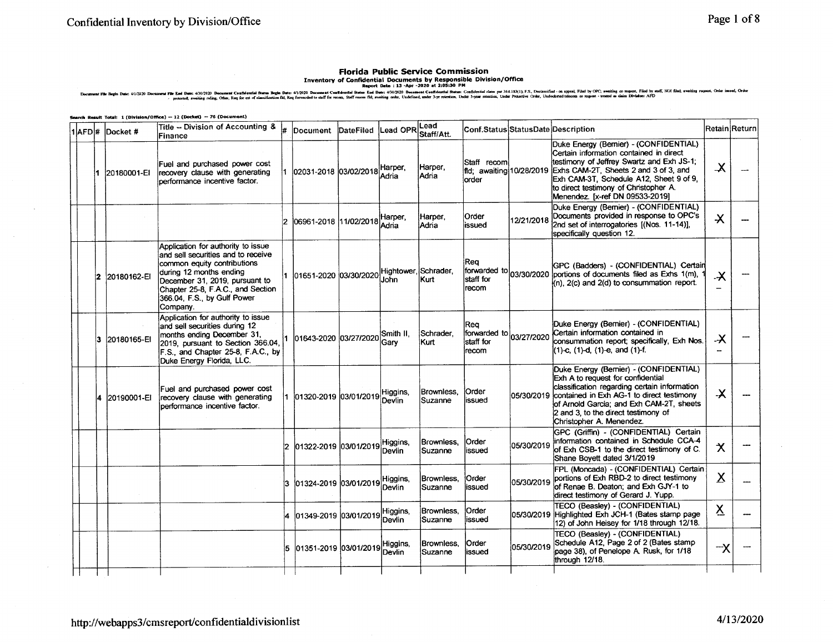## **Florida Public Service Commission**

INVENTORY OF CONFECTATION OF THE SERVE TO ANTEREST OF SECULITIES ON THE SERVENT OF SERVENT OF A SERVENT OF SERVENTION OF SERVENTION OF SERVENT OF SERVENTION OF SERVENT OF SERVENT OF SERVENT OF SERVENT OF SERVENT OF OUR SER

ch Result Total: 1 (Division/Office) -- 12 (Docket) -- 76 (Document)

|  | 1 AFD #  Docket # | Title -- Division of Accounting &<br>Finance                                                                                                                                                                                                         | l#. | Document                                   | DateFiled | Lead OPREE         | Staff/Att.              | Conf.Status StatusDate Description                     |            |                                                                                                                                                                                                                                                                                                                          | Retain Return                    |  |
|--|-------------------|------------------------------------------------------------------------------------------------------------------------------------------------------------------------------------------------------------------------------------------------------|-----|--------------------------------------------|-----------|--------------------|-------------------------|--------------------------------------------------------|------------|--------------------------------------------------------------------------------------------------------------------------------------------------------------------------------------------------------------------------------------------------------------------------------------------------------------------------|----------------------------------|--|
|  | 1 20180001-EI     | Fuel and purchased power cost<br>recovery clause with generating<br>performance incentive factor.                                                                                                                                                    |     | 1 02031-2018 03/02/2018 Harper,            |           | Adria              | Harper,<br> Adria       | Staff recom<br>order                                   |            | Duke Energy (Bernier) - (CONFIDENTIAL)<br>Certain information contained in direct<br>testimony of Jeffrey Swartz and Exh JS-1;<br>fild; awaiting 10/28/2019 Exhs CAM-2T, Sheets 2 and 3 of 3, and<br>Exh CAM-3T, Schedule A12, Sheet 9 of 9,<br>to direct testimony of Christopher A.<br>Menendez. [x-ref DN 09533-2019] | $\boldsymbol{\chi}$              |  |
|  |                   |                                                                                                                                                                                                                                                      | 12. | 06961-2018 11/02/2018 Adria                |           | Harper,            | Harper.<br><b>Adria</b> | Order<br>issued                                        | 12/21/2018 | Duke Energy (Bernier) - (CONFIDENTIAL)<br>Documents provided in response to OPC's<br>2nd set of interrogatories [(Nos. 11-14)],<br>specifically question 12.                                                                                                                                                             | $\boldsymbol{\lambda}$           |  |
|  | 2 20180162-EI     | Application for authority to issue<br>and sell securities and to receive<br>common equity contributions<br>during 12 months ending<br>December 31, 2019, pursuant to<br>Chapter 25-8, F.A.C., and Section<br>366.04, F.S., by Gulf Power<br>Company. |     | 01651-2020 03/30/2020 Hightower, Schrader, |           |                    |                         | Rea<br>staff for<br>recom                              |            | GPC (Badders) - (CONFIDENTIAL) Certain<br>forwarded to 03/30/2020 portions of documents filed as Exhs 1(m),<br>$(n)$ , $2(c)$ and $2(d)$ to consummation report.                                                                                                                                                         | $\boldsymbol{\lambda}$<br>$\sim$ |  |
|  | 3 20180165-EI     | Application for authority to issue<br>and sell securities during 12<br>months ending December 31,<br>2019, pursuant to Section 366.04,<br>F.S., and Chapter 25-8, F.A.C., by<br>Duke Energy Florida, LLC.                                            |     | 01643-2020 03/27/2020                      |           | Smith II.<br>Garv  | Schrader,<br>Kurt :     | lRea<br>forwarded to 03/27/2020<br>lstaff for<br>recom |            | Duke Energy (Bernier) - (CONFIDENTIAL)<br>Certain information contained in<br>consummation report; specifically, Exh Nos.<br>(1)-c, (1)-d, (1)-e, and (1)-f.                                                                                                                                                             | $\boldsymbol{\mathsf{x}}$        |  |
|  | 20190001-EI       | Fuel and purchased power cost<br>recovery clause with generating<br>bertormance incentive factor.                                                                                                                                                    |     | 01320-2019 03/01/2019                      |           | Higgins,<br>Devlin | Brownless.<br>Suzanne   | <b>Order</b><br>lissued                                |            | Duke Energy (Bernier) - (CONFIDENTIAL)<br>Exh A to request for confidential<br>classification regarding certain information<br>05/30/2019 contained in Exh AG-1 to direct testimony<br>of Arnold Garcia; and Exh CAM-2T, sheets<br>2 and 3, to the direct testimony of<br>Christopher A. Menendez.                       | $\boldsymbol{\lambda}$           |  |
|  |                   |                                                                                                                                                                                                                                                      |     | 2 01322-2019 03/01/2019                    |           | Higgins,<br>Devlin | Brownless.<br>Suzanne   | lOrder<br>lissued                                      | 05/30/2019 | GPC (Griffin) - (CONFIDENTIAL) Certain<br>information contained in Schedule CCA-4<br>of Exh CSB-1 to the direct testimony of C.<br>Shane Boyett dated 3/1/2019                                                                                                                                                           | $\boldsymbol{\chi}$              |  |
|  |                   |                                                                                                                                                                                                                                                      |     | 3 101324-2019 103/01/2019                  |           | Higgins,<br>Devlin | Brownless,<br>Suzanne   | Order<br>lissued                                       | 05/30/2019 | FPL (Moncada) - (CONFIDENTIAL) Certain<br>portions of Exh RBD-2 to direct testimony<br>of Renae B. Deaton: and Exh GJY-1 to<br>direct testimony of Gerard J. Yupp.                                                                                                                                                       | $\mathbf x$                      |  |
|  |                   |                                                                                                                                                                                                                                                      |     | 4 01349-2019 03/01/2019                    |           | Higgins,<br>Devlin | Brownless.<br>Suzanne   | lOrder<br>lissued                                      |            | TECO (Beaslev) - (CONFIDENTIAL)<br>05/30/2019 Highlighted Exh JCH-1 (Bates stamp page<br>12) of John Heisey for 1/18 through 12/18.                                                                                                                                                                                      | <u>х</u>                         |  |
|  |                   |                                                                                                                                                                                                                                                      |     | l01351-2019 l03/01/2019                    |           | Higgins,<br>Devlin | Brownless.<br>Suzanne   | lOrder<br>lissued                                      | 05/30/2019 | TECO (Beasley) - (CONFIDENTIAL)<br>Schedule A12, Page 2 of 2 (Bates stamp<br>page 38), of Penelope A. Rusk, for 1/18<br>through 12/18.                                                                                                                                                                                   | 一人                               |  |
|  |                   |                                                                                                                                                                                                                                                      |     |                                            |           |                    |                         |                                                        |            |                                                                                                                                                                                                                                                                                                                          |                                  |  |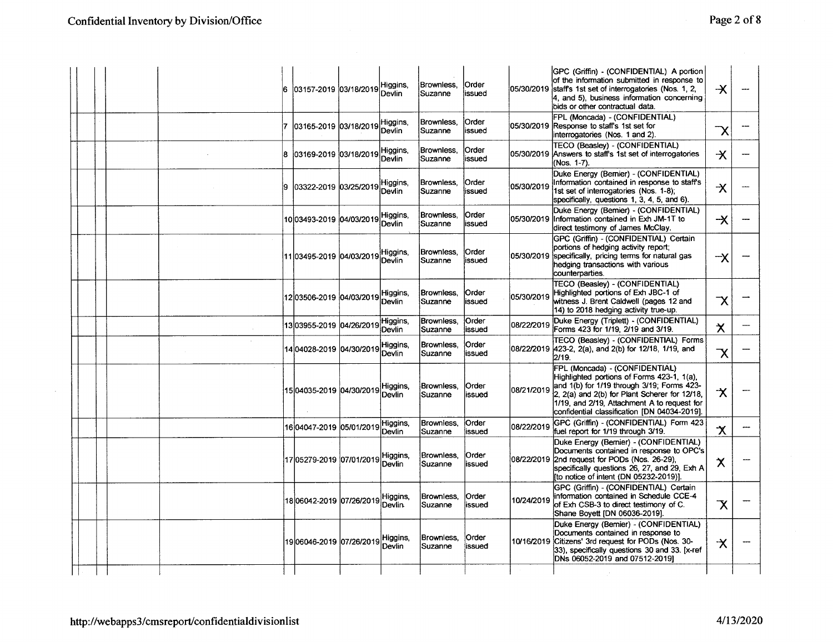|  |        | 6   | 03157-2019 03/18/2019             | Higgins,<br>Devlin        | Brownless.<br>Suzanne        | Order<br>issued         | 05/30/2019 | GPC (Griffin) - (CONFIDENTIAL) A portion<br>of the information submitted in response to<br>staff's 1st set of interrogatories (Nos. 1, 2,<br>4, and 5), business information concerning<br>bids or other contractual data.                                                 | $\overline{\mathsf{X}}$ |  |
|--|--------|-----|-----------------------------------|---------------------------|------------------------------|-------------------------|------------|----------------------------------------------------------------------------------------------------------------------------------------------------------------------------------------------------------------------------------------------------------------------------|-------------------------|--|
|  |        |     | 03165-2019 03/18/2019             | Higgins,<br>Devlin        | Brownless.<br>Suzanne        | Order<br>issued         |            | FPL (Moncada) - (CONFIDENTIAL)<br>05/30/2019 Response to staff's 1st set for<br>interrogatories (Nos. 1 and 2).                                                                                                                                                            | $\overline{\mathsf{x}}$ |  |
|  |        | la. | 03169-2019 03/18/2019             | Higgins,<br>Devlin        | Brownless,<br>Suzanne        | Order<br>issued         |            | <b>TECO (Beasley) - (CONFIDENTIAL)</b><br>05/30/2019 Answers to staff's 1st set of interrogatories<br>(Nos. 1-7).                                                                                                                                                          | $\overline{\mathsf{X}}$ |  |
|  |        | l9. | 03322-2019 03/25/2019             | Higgins,<br>Devlin        | Brownless,<br>Suzanne        | Order<br>issued         | 05/30/2019 | Duke Energy (Bernier) - (CONFIDENTIAL)<br>Information contained in response to staff's<br>1st set of interrogatories (Nos. 1-8):<br>specifically, questions 1, 3, 4, 5, and 6).                                                                                            | $\boldsymbol{\times}$   |  |
|  |        |     |                                   | Higgins,<br>Devlin        | Brownless.<br>Suzanne        | Order<br>lissued        |            | Duke Energy (Bemier) - (CONFIDENTIAL)<br>05/30/2019 Information contained in Exh JM-1T to<br>direct testimony of James McClay.                                                                                                                                             | $\overline{\mathsf{X}}$ |  |
|  |        |     | 11 03495-2019 04/03/2019 Higgins, | Devlin                    | Brownless.<br><b>Suzanne</b> | <b>Order</b><br>lissued |            | GPC (Griffin) - (CONFIDENTIAL) Certain<br>portions of hedging activity report;<br>05/30/2019 specifically, pricing terms for natural gas<br>hedging transactions with various<br>counterparties.                                                                           | -X                      |  |
|  |        |     | 12 03506-2019 04/03/2019          | Higgins,<br><b>Devlin</b> | Brownless,<br>Suzanne        | lOrder<br>lissued       | 05/30/2019 | TECO (Beasley) - (CONFIDENTIAL)<br>Highlighted portions of Exh JBC-1 of<br>witness J. Brent Caldwell (pages 12 and<br>14) to 2018 hedging activity true-up.                                                                                                                | $\overline{\mathsf{x}}$ |  |
|  |        |     |                                   | Higgins,<br>Devlin        | Brownless.<br>Suzanne        | <b>Order</b><br>issued  | 08/22/2019 | Duke Energy (Triplett) - (CONFIDENTIAL)<br>Forms 423 for 1/19, 2/19 and 3/19.                                                                                                                                                                                              | $\boldsymbol{\times}$   |  |
|  | $\sim$ |     | 14 04028-2019 04/30/2019          | Higgins,<br><b>Devlin</b> | Brownless,<br>Suzanne        | Order<br>issued         |            | TECO (Beasley) - (CONFIDENTIAL) Forms<br>08/22/2019 423-2, 2(a), and 2(b) for 12/18, 1/19, and<br>2/19.                                                                                                                                                                    | $\overline{\mathsf{X}}$ |  |
|  |        |     | 15 04035-2019 04/30/2019          | Higgins,<br>Devlin        | Brownless,<br>Suzanne        | <b>Order</b><br>lissued | 08/21/2019 | FPL (Moncada) - (CONFIDENTIAL)<br>Highlighted portions of Forms 423-1, 1(a),<br>and 1(b) for 1/19 through 3/19; Forms 423-<br>2, 2(a) and 2(b) for Plant Scherer for 12/18,<br>1/19, and 2/19, Attachment A to request for<br>confidential classification (DN 04034-2019). | 水                       |  |
|  |        |     | 16 04047-2019 05/01/2019          | Higgins,<br><b>Devlin</b> | Brownless.<br>Suzanne        | <b>Order</b><br>issued  | 08/22/2019 | GPC (Griffin) - (CONFIDENTIAL) Form 423<br>fuel report for 1/19 through 3/19.                                                                                                                                                                                              | $\boldsymbol{\chi}$     |  |
|  |        |     | 17 05279-2019 07/01/2019          | Higgins,<br>Devlin        | Brownless.<br>Suzanne        | lOrder<br>lissued       |            | Duke Energy (Bernier) - (CONFIDENTIAL)<br>Documents contained in response to OPC's<br>08/22/2019 2nd request for PODs (Nos. 26-29).<br>specifically questions 26, 27, and 29, Exh A<br>[to notice of intent (DN 05232-2019)].                                              | $\boldsymbol{\chi}$     |  |
|  |        |     | 18 06042-2019 07/26/2019          | Higgins,<br>Devlin        | Brownless.<br>Suzanne        | <b>Order</b><br>lissued | 10/24/2019 | GPC (Griffin) - (CONFIDENTIAL) Certain<br>information contained in Schedule CCE-4<br>of Exh CSB-3 to direct testimony of C.<br>Shane Bovett (DN 06036-2019).                                                                                                               | $\overline{\mathsf{X}}$ |  |
|  |        |     | 19 06046-2019 07/26/2019          | Higgins,<br>Devlin        | Brownless.<br>Suzanne        | Order<br>issued         |            | Duke Energy (Bemier) - (CONFIDENTIAL)<br>Documents contained in response to<br>10/16/2019 Citizens' 3rd request for PODs (Nos. 30-<br>33), specifically questions 30 and 33. [x-ref<br>DNs 06052-2019 and 07512-2019]                                                      | $\boldsymbol{\chi}$     |  |
|  |        |     |                                   |                           |                              |                         |            |                                                                                                                                                                                                                                                                            |                         |  |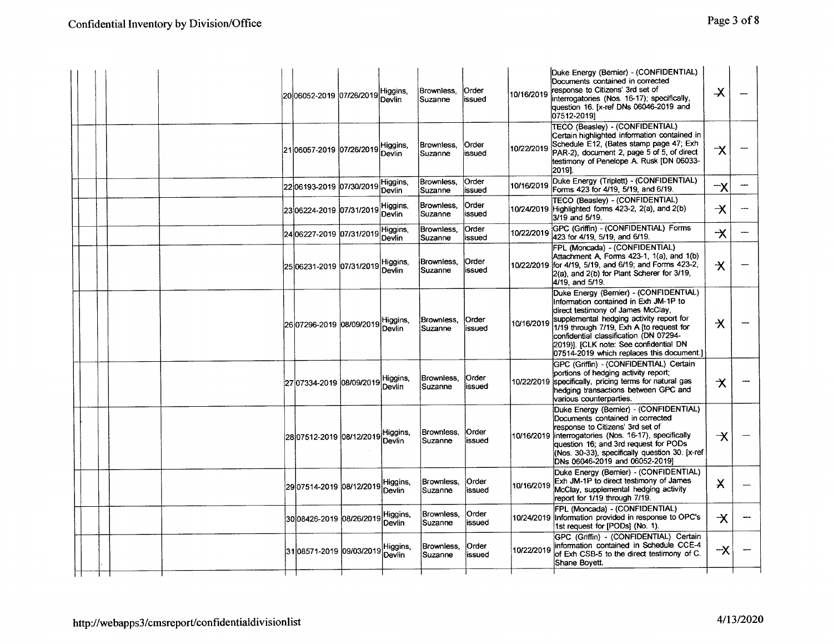|  | i20l06052-2019 l07/26/2019l       | Higgins,<br>Devlin        | Brownless.<br>Suzanne    | <b>Order</b><br>lissued | 10/16/2019 | Duke Energy (Bemier) - (CONFIDENTIAL)<br>Documents contained in corrected<br>response to Citizens' 3rd set of<br>interrogatories (Nos. 16-17); specifically,<br>question 16. [x-ref DNs 06046-2019 and<br>07512-2019]                                                                                                                         | $\boldsymbol{\lambda}$                                  |  |
|--|-----------------------------------|---------------------------|--------------------------|-------------------------|------------|-----------------------------------------------------------------------------------------------------------------------------------------------------------------------------------------------------------------------------------------------------------------------------------------------------------------------------------------------|---------------------------------------------------------|--|
|  | 2106057-2019 07/26/2019           | Higgins,<br>Devlin        | Brownless.<br>Suzanne    | Order<br>issued         | 10/22/2019 | TECO (Beasley) - (CONFIDENTIAL)<br>Certain highlighted information contained in<br>Schedule E12, (Bates stamp page 47; Exh<br>PAR-2), document 2, page 5 of 5, of direct<br>testimony of Penelope A. Rusk [DN 06033-<br>20191.                                                                                                                | ス                                                       |  |
|  | 2206193-2019 07/30/2019           | Higgins,<br><b>Devlin</b> | Brownless.<br>Suzanne    | Order<br>lissued        | 10/16/2019 | Duke Energy (Triplett) - (CONFIDENTIAL)<br>Forms 423 for 4/19, 5/19, and 6/19.                                                                                                                                                                                                                                                                | $\mathord{\hspace{1pt}\text{--}\hspace{1pt}}\mathsf{X}$ |  |
|  | 23 06224-2019 07/31/2019 Higgins, |                           | Brownless,<br>Suzanne    | Order<br>issued         |            | TECO (Beasley) - (CONFIDENTIAL)<br>10/24/2019 Highlighted forms 423-2, 2(a), and 2(b)<br>3/19 and 5/19.                                                                                                                                                                                                                                       | $\overline{\mathsf{X}}$                                 |  |
|  | 24 06227-2019 07/31/2019          | Higgins,<br>Devlin        | Brownless,<br>lSuzanne   | lOrder<br>lissued       | 10/22/2019 | GPC (Griffin) - (CONFIDENTIAL) Forms<br>423 for 4/19, 5/19, and 6/19.                                                                                                                                                                                                                                                                         | $\overline{\mathsf{X}}$                                 |  |
|  | 25 06231-2019 07/31/2019          | Higgins,<br>Devlin        | Brownless.<br>Suzanne    | <b>Order</b><br>issued  |            | FPL (Moncada) - (CONFIDENTIAL)<br>Attachment A, Forms 423-1, 1(a), and 1(b)<br>10/22/2019 for 4/19, 5/19, and 6/19; and Forms 423-2,<br>2(a), and 2(b) for Plant Scherer for 3/19,<br>4/19, and 5/19.                                                                                                                                         | $\boldsymbol{\star}$                                    |  |
|  | 26 07296-2019 08/09/2019          | Higgins,<br>Devlin        | Brownless.<br>Suzanne    | <b>Order</b><br>issued  | 10/16/2019 | Duke Energy (Bernier) - (CONFIDENTIAL)<br>Information contained in Exh JM-1P to<br>direct testimony of James McClay,<br>supplemental hedging activity report for<br>1/19 through 7/19, Exh A [to request for<br>confidential classification (DN 07294-<br>2019)]. [CLK note: See confidential DN<br>07514-2019 which replaces this document.] | $\boldsymbol{\chi}$                                     |  |
|  | 27 07334-2019 08/09/2019 Higgins, | Devlin                    | IBrownless.<br>lSuzanne. | Order<br>issued         | 10/22/2019 | GPC (Griffin) - (CONFIDENTIAL) Certain<br>portions of hedging activity report;<br>specifically, pricing terms for natural gas<br>hedging transactions between GPC and<br>various counterparties.                                                                                                                                              | $\boldsymbol{\star}$                                    |  |
|  | 28 07512-2019 08/12/2019          | Higgins,<br>Devlin        | Brownless.<br>Suzanne    | <b>Order</b><br>lissued |            | Duke Energy (Bernier) - (CONFIDENTIAL)<br>Documents contained in corrected<br>lresponse to Citizens' 3rd set of<br>10/16/2019 interrogatories (Nos. 16-17), specifically<br>question 16; and 3rd request for PODs<br>(Nos. 30-33), specifically question 30. [x-ref<br>DNs 06046-2019 and 06052-2019]                                         | ⊣X                                                      |  |
|  | 29 07514-2019 08/12/2019          | Higgins,<br>Devlin        | Brownless,<br>Suzanne    | <b>Order</b><br>lissued | 10/16/2019 | Duke Energy (Bernier) - (CONFIDENTIAL)<br>Exh JM-1P to direct testimony of James<br>McClav, supplemental hedging activity<br>report for 1/19 through 7/19.                                                                                                                                                                                    | $\boldsymbol{\mathsf{X}}$                               |  |
|  | 3008426-2019 08/26/2019           | Higgins.<br>Devlin        | Brownless,<br>Suzanne    | Order<br>issued         |            | FPL (Moncada) - (CONFIDENTIAL)<br>10/24/2019 Information provided in response to OPC's<br>1st request for [PODs] (No. 1).                                                                                                                                                                                                                     | $\boldsymbol{\mathsf{\star}}$                           |  |
|  | 31 08571-2019 09/03/2019 Higgins, | Devlin                    | Brownless,<br>Suzanne    | lOrder<br>lissued       | 10/22/2019 | GPC (Griffin) - (CONFIDENTIAL) Certain<br>information contained in Schedule CCE-4<br>of Exh CSB-5 to the direct testimony of C.<br>Shane Boyett.                                                                                                                                                                                              | $-\times$                                               |  |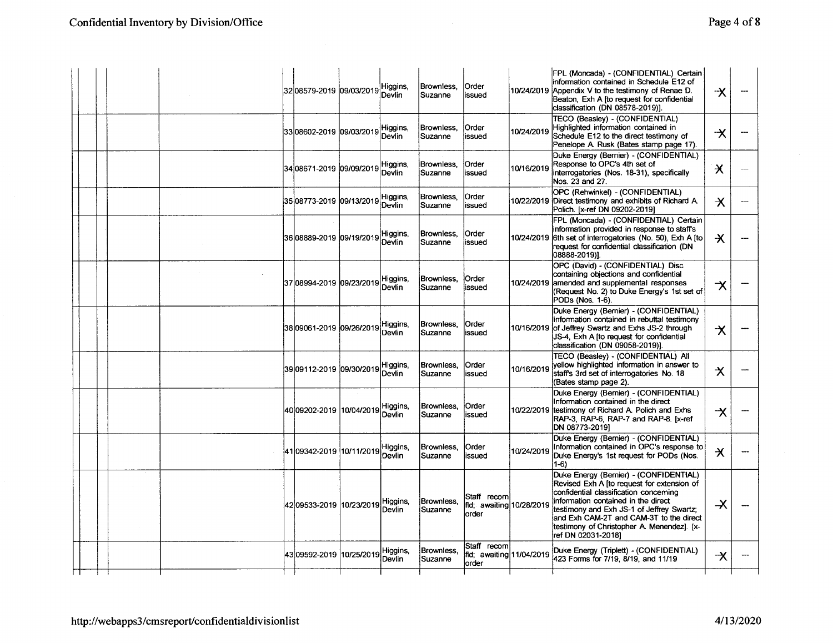| Page 4 of 8 |
|-------------|
|-------------|

|  |  | 32 08579-2019 09/03/2019             | Higgins,<br>Devlin | Brownless.<br>Suzanne | <b>Order</b><br>lissued                           |            | FPL (Moncada) - (CONFIDENTIAL) Certain<br>information contained in Schedule E12 of<br>10/24/2019 Appendix V to the testimony of Renae D.<br>Beaton, Exh A [to request for confidential<br>classification (DN 08578-2019)].                                                                                                        | $\boldsymbol{\mathsf{\star}}$   |  |
|--|--|--------------------------------------|--------------------|-----------------------|---------------------------------------------------|------------|-----------------------------------------------------------------------------------------------------------------------------------------------------------------------------------------------------------------------------------------------------------------------------------------------------------------------------------|---------------------------------|--|
|  |  | 3308602-2019 09/03/2019              | Higgins,<br>Devlin | Brownless.<br>Suzanne | <b>Order</b><br>lissued                           | 10/24/2019 | TECO (Beasley) - (CONFIDENTIAL)<br>Highlighted information contained in<br>Schedule E12 to the direct testimony of<br>Penelope A. Rusk (Bates stamp page 17).                                                                                                                                                                     | $\overline{\mathsf{X}}$         |  |
|  |  | 34 08671-2019 09/09/2019             | Higgins,<br>Devlin | Brownless,<br>Suzanne | Order<br>issued                                   | 10/16/2019 | Duke Energy (Bernier) - (CONFIDENTIAL)<br>Response to OPC's 4th set of<br>interrogatories (Nos. 18-31), specifically<br>Nos. 23 and 27.                                                                                                                                                                                           | $\boldsymbol{\times}$           |  |
|  |  |                                      | Higgins,<br>Devlin | Brownless,<br>Suzanne | <b>Order</b><br>issued                            |            | OPC (Rehwinkel) - (CONFIDENTIAL)<br>10/22/2019 Direct testimony and exhibits of Richard A.<br>Polich. [x-ref DN 09202-2019]                                                                                                                                                                                                       | $\boldsymbol{\chi}$             |  |
|  |  | 36 08889-2019  09/19/2019            | Higgins,<br>Devlin | Brownless.<br>Suzanne | Order<br>issued                                   | 10/24/2019 | FPL (Moncada) - (CONFIDENTIAL) Certain<br>information provided in response to staff's<br>6th set of interrogatories (No. 50), Exh A [to<br>request for confidential classification (DN<br>08888-2019)].                                                                                                                           | $\overline{\mathsf{X}}$         |  |
|  |  | 37 08994-2019  09/23/2019            | Higgins,<br>Devlin | Brownless.<br>Suzanne | lOrder<br>lissued                                 | 10/24/2019 | OPC (David) - (CONFIDENTIAL) Disc<br>containing objections and confidential<br>amended and supplemental responses<br>(Request No. 2) to Duke Energy's 1st set of<br>PODs (Nos. 1-6).                                                                                                                                              | $\boldsymbol{\mathsf{\lambda}}$ |  |
|  |  | 38 09061-2019 09/26/2019 Higgins,    | Devlin             | Brownless.<br>Suzanne | Order<br>issued                                   | 10/16/2019 | Duke Energy (Bernier) - (CONFIDENTIAL)<br>Information contained in rebuttal testimony<br>of Jeffrey Swartz and Exhs JS-2 through<br>JS-4. Exh A fto request for confidential<br>classification (DN 09058-2019)].                                                                                                                  | $\boldsymbol{\chi}$             |  |
|  |  | 39 09112-2019 09/30/2019 Higgins,    | Devlin             | Brownless.<br>Suzanne | <b>Order</b><br>issued                            | 10/16/2019 | TECO (Beasley) - (CONFIDENTIAL) All<br>vellow highlighted information in answer to<br>staff's 3rd set of interrogatories No. 18<br>(Bates stamp page 2).                                                                                                                                                                          | $\boldsymbol{\times}$           |  |
|  |  | 40 09202-2019  10/04/2019   Higgins, | Devlin             | Brownless,<br>Suzanne | Order<br>issued                                   | 10/22/2019 | Duke Energy (Bemier) - (CONFIDENTIAL)<br>Information contained in the direct<br>testimony of Richard A. Polich and Exhs<br>RAP-3, RAP-6, RAP-7 and RAP-8. [x-ref<br>DN 08773-20191                                                                                                                                                | $\boldsymbol{\chi}$             |  |
|  |  | 41 09342-2019 10/11/2019 Higgins,    | Devlin             | Brownless.<br>Suzanne | <b>Order</b><br>issued                            | 10/24/2019 | Duke Energy (Bernier) - (CONFIDENTIAL)<br>Information contained in OPC's response to<br>Duke Energy's 1st request for PODs (Nos.<br>$1-6$                                                                                                                                                                                         | $\star$                         |  |
|  |  | 42 09533-2019 10/23/2019 Higgins,    | Devlin             | Brownless.<br>Suzanne | Staff recom<br>fld; awaiting 10/28/2019<br>lorder |            | Duke Energy (Bernier) - (CONFIDENTIAL)<br>Revised Exh A [to request for extension of<br>confidential classification concerning<br>information contained in the direct<br>testimony and Exh JS-1 of Jeffrey Swartz:<br>and Exh CAM-2T and CAM-3T to the direct<br>testimony of Christopher A. Menendez]. [x-<br>ref DN 02031-20181 | $\boldsymbol{\lambda}$          |  |
|  |  | 43 09592-2019 10/25/2019             | Higgins,<br>Devlin | Brownless.<br>Suzanne | Staff recom<br>fid; awaiting 11/04/2019<br>lorder |            | Duke Energy (Triplett) - (CONFIDENTIAL)<br>423 Forms for 7/19, 8/19, and 11/19                                                                                                                                                                                                                                                    | $\boldsymbol{\chi}$             |  |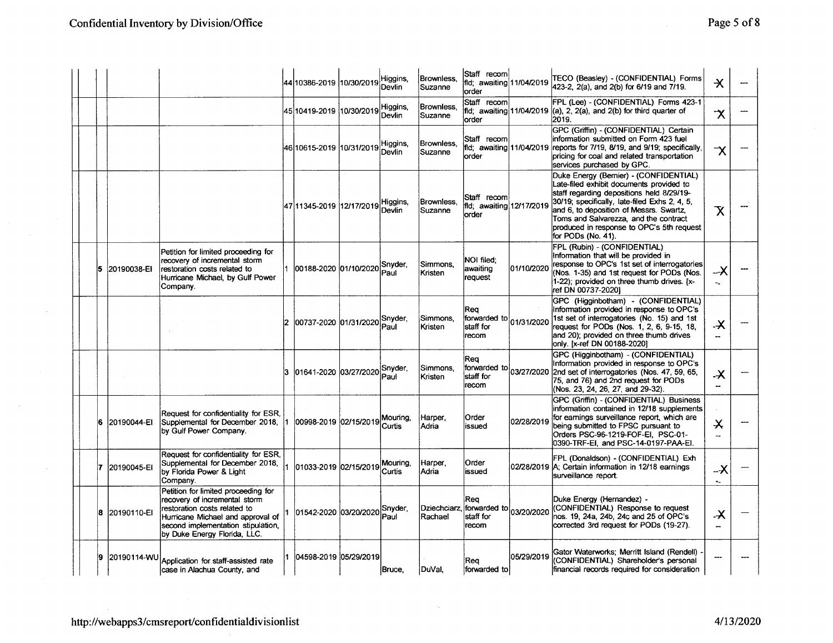|    |               |                                                                                                                                                                                                                 |     | 44 10386-2019 10/30/2019      | Higgins,<br>Devlin | Brownless.<br>Suzanne   | Staff recoml<br>fld; awaiting 11/04/2019<br>lorder   |            | TECO (Beasley) - (CONFIDENTIAL) Forms<br>423-2, 2(a), and 2(b) for 6/19 and 7/19.                                                                                                                                                                                                                                                       | $\star$                                               |  |
|----|---------------|-----------------------------------------------------------------------------------------------------------------------------------------------------------------------------------------------------------------|-----|-------------------------------|--------------------|-------------------------|------------------------------------------------------|------------|-----------------------------------------------------------------------------------------------------------------------------------------------------------------------------------------------------------------------------------------------------------------------------------------------------------------------------------------|-------------------------------------------------------|--|
|    |               |                                                                                                                                                                                                                 |     | 45 10419-2019  10/30/2019     | Higgins.<br>Devlin | Brownless.<br>Suzanne   | lStaff recoml<br>lorder                              |            | FPL (Lee) - (CONFIDENTIAL) Forms 423-1<br>fid; awaiting 11/04/2019 (a), 2, 2(a), and 2(b) for third quarter of<br>2019.                                                                                                                                                                                                                 | $\boldsymbol{\chi}$                                   |  |
|    |               |                                                                                                                                                                                                                 |     | 46 10615-2019  10/31/2019     | Higgins,<br>Devlin | Brownless.<br>Suzanne   | Staff recom<br>lorder                                |            | GPC (Griffin) - (CONFIDENTIAL) Certain<br>information submitted on Form 423 fuel<br>fld: awaiting 11/04/2019 reports for 7/19, 8/19, and 9/19; specifically,<br>pricing for coal and related transportation<br>services purchased by GPC.                                                                                               | $\overline{\mathsf{X}}$                               |  |
|    |               |                                                                                                                                                                                                                 |     | 47 11345-2019 12/17/2019      | Higgins,<br>Devlin | Brownless,<br>Suzanne   | Staff recoml<br>fld; awaiting 12/17/2019<br>order    |            | Duke Energy (Bernier) - (CONFIDENTIAL)<br>Late-filed exhibit documents provided to<br>staff regarding depositions held 8/29/19-<br>30/19; specifically, late-filed Exhs 2, 4, 5,<br>and 6, to deposition of Messrs. Swartz,<br>Toms and Salvarezza, and the contract<br>produced in response to OPC's 5th request<br>for PODs (No. 41). | $\overline{\mathsf{X}}$                               |  |
| 15 | 20190038-EI   | Petition for limited proceeding for<br>recovery of incremental storm<br>restoration costs related to<br>Hurricane Michael, by Gulf Power<br>Company.                                                            |     | 00188-2020 01/10/2020 Snyder, | Paul               | Simmons.<br>Kristen     | NOI filed:<br>awaiting<br>request                    | 01/10/2020 | FPL (Rubin) - (CONFIDENTIAL)<br>Information that will be provided in<br>response to OPC's 1st set of interrogatories<br>(Nos. 1-35) and 1st request for PODs (Nos.<br>1-22); provided on three thumb drives. [x-<br>ref DN 00737-2020]                                                                                                  | $-\mathsf{X}$<br>$\sim$                               |  |
|    |               |                                                                                                                                                                                                                 | 12. | 00737-2020 01/31/2020         | Snyder,<br>Paul    | Simmons.<br>Kristen     | Rea<br>forwarded to 01/31/2020<br>staff for<br>recom |            | GPC (Higginbotham) - (CONFIDENTIAL)<br>Information provided in response to OPC's<br>1st set of interrogatories (No. 15) and 1st<br>request for PODs (Nos. 1, 2, 6, 9-15, 18,<br>and 20); provided on three thumb drives<br>only. [x-ref DN 00188-2020]                                                                                  | $\boldsymbol{\mathsf{X}}$<br>$\overline{\phantom{a}}$ |  |
|    |               |                                                                                                                                                                                                                 | 13  | 01641-2020 03/27/2020 Snyder, | Paul               | Simmons,<br>Kristen     | Rea<br>forwarded to<br>İstaff for<br>recom           | 03/27/2020 | GPC (Higginbotham) - (CONFIDENTIAL)<br>Information provided in response to OPC's<br>2nd set of interrogatories (Nos. 47, 59, 65,<br>75, and 76) and 2nd request for PODs<br>(Nos. 23, 24, 26, 27, and 29-32).                                                                                                                           | $\boldsymbol{\mathsf{x}}$<br>$\overline{\phantom{a}}$ |  |
| 16 | 20190044-EI   | Request for confidentiality for ESR.<br>Supplemental for December 2018,<br>by Gulf Power Company.                                                                                                               |     | 00998-2019 02/15/2019         | Mouring,<br>Curtis | Harper.<br>Adria        | Order<br>issued                                      | 02/28/2019 | GPC (Griffin) - (CONFIDENTIAL) Business<br>information contained in 12/18 supplements<br>for earnings surveillance report, which are<br>being submitted to FPSC pursuant to<br>Orders PSC-96-1219-FOF-EI, PSC-01-<br>0390-TRF-EI, and PSC-14-0197-PAA-EI.                                                                               | $\boldsymbol{\times}$<br>$\overline{\phantom{m}}$     |  |
|    | 20190045-EI   | Request for confidentiality for ESR.<br>Supplemental for December 2018,<br>by Florida Power & Light<br>Company.                                                                                                 |     | 01033-2019 02/15/2019         | Mouring.<br>Curtis | Harper.<br>Adria        | Order<br>issued                                      | 02/28/2019 | FPL (Donaldson) - (CONFIDENTIAL) Exh<br>A: Certain information in 12/18 earnings<br>Isurveillance report.                                                                                                                                                                                                                               | X<br>$\sigma_{\rm eff}$                               |  |
|    | 8 20190110-EI | Petition for limited proceeding for<br>recovery of incremental storm<br>restoration costs related to<br>Hurricane Michael and approval of<br>second implementation stipulation,<br>by Duke Energy Florida, LLC. |     | 01542-2020 03/20/2020 Snyder, | lPaul              | Dziechciarz,<br>Rachael | Rea<br>forwarded to 03/20/2020<br>staff for<br>recom |            | Duke Energy (Hernandez) -<br>(CONFIDENTIAL) Response to request<br>nos. 19, 24a, 24b, 24c and 25 of OPC's<br>corrected 3rd request for PODs (19-27).                                                                                                                                                                                    | .X<br>u.                                              |  |
| 9  | 20190114-WU   | Application for staff-assisted rate<br>case in Alachua County, and                                                                                                                                              |     | l04598-2019 l05/29/2019       | Bruce,             | DuVal,                  | Rea<br>forwarded to                                  | 05/29/2019 | Gator Waterworks; Merritt Island (Rendell)<br>(CONFIDENTIAL) Shareholder's personal<br>financial records required for consideration                                                                                                                                                                                                     |                                                       |  |

 $\sim$ 

 $\lambda$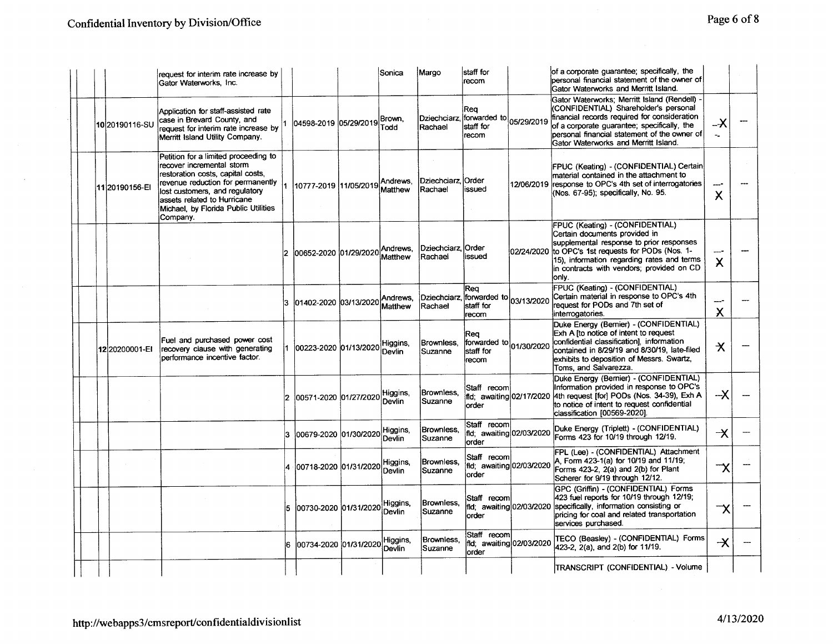$\sim$   $\alpha$ 

|                | request for interim rate increase by<br>Gator Waterworks, Inc.                                                                                                                                                                                                   |              |                                | Sonica              | Margo                                | staff for<br>recom                                                 |                          | of a corporate guarantee; specifically, the<br>personal financial statement of the owner of<br>Gator Waterworks and Merritt Island.                                                                                                                                        |                                  |  |
|----------------|------------------------------------------------------------------------------------------------------------------------------------------------------------------------------------------------------------------------------------------------------------------|--------------|--------------------------------|---------------------|--------------------------------------|--------------------------------------------------------------------|--------------------------|----------------------------------------------------------------------------------------------------------------------------------------------------------------------------------------------------------------------------------------------------------------------------|----------------------------------|--|
| 10 20190116-SU | Application for staff-assisted rate<br>case in Brevard County, and<br>request for interim rate increase by<br>Merritt Island Utility Company.                                                                                                                    |              | 04598-2019 05/29/2019 Brown,   | Todd                | Rachael                              | Req<br>Dziechciarz, forwarded to 05/29/2019<br>lstaff for<br>recom |                          | Gator Waterworks; Merritt Island (Rendell)<br>(CONFIDENTIAL) Shareholder's personal<br>financial records required for consideration<br>of a corporate quarantee; specifically, the<br>personal financial statement of the owner of<br>Gator Waterworks and Merritt Island. | –X<br>$\mathcal{L}_{\mathbf{m}}$ |  |
| 11 20190156-EI | Petition for a limited proceeding to<br>recover incremental storm<br>restoration costs, capital costs,<br>revenue reduction for permanently<br>lost customers, and regulatory<br>assets related to Hurricane<br>Michael, by Florida Public Utilities<br>Company. |              | 10777-2019 11/05/2019 Andrews, |                     | Dziechciarz Order<br><b>IRachael</b> | issued                                                             | 12/06/2019               | FPUC (Keating) - (CONFIDENTIAL) Certain<br>material contained in the attachment to<br>response to OPC's 4th set of interrogatories<br>(Nos. 67-95); specifically, No. 95.                                                                                                  | X                                |  |
|                |                                                                                                                                                                                                                                                                  | $\mathbf{2}$ | 00652-2020 01/29/2020 Andrews, |                     | Dziechciarz Order<br>Rachael         | issued                                                             | 02/24/2020               | FPUC (Keating) - (CONFIDENTIAL)<br>Certain documents provided in<br>supplemental response to prior responses<br>to OPC's 1st requests for PODs (Nos. 1-<br>15), information regarding rates and terms<br>in contracts with vendors: provided on CD<br>loniv.               | $\boldsymbol{\mathsf{X}}$        |  |
|                |                                                                                                                                                                                                                                                                  |              | 01402-2020 03/13/2020          | Andrews,<br>Matthew | <b>Rachael</b>                       | Rea<br>Dziechciarz, forwarded to 03/13/2020<br>staff for<br>recom  |                          | FPUC (Keating) - (CONFIDENTIAL)<br>Certain material in response to OPC's 4th<br>request for PODs and 7th set of<br>interrogatories.                                                                                                                                        | ----<br>$\times$                 |  |
| 12 20200001-EI | Fuel and purchased power cost<br>recovery clause with generating<br>performance incentive factor.                                                                                                                                                                |              | 00223-2020 01/13/2020 Higgins, |                     | Brownless.<br>Suzanne                | Rea<br>forwarded to 01/30/2020<br>lstaff for<br>recom              |                          | Duke Energy (Bernier) - (CONFIDENTIAL)<br>Exh A Ito notice of intent to request<br>confidential classification], information<br>contained in 8/29/19 and 8/30/19, late-filed<br>exhibits to deposition of Messrs. Swartz,<br>Toms, and Salvarezza.                         | $\boldsymbol{\times}$            |  |
|                |                                                                                                                                                                                                                                                                  |              | 00571-2020 01/27/2020 Higgins, |                     | Brownless,<br>Suzanne                | Staff recom<br>fld; awaiting 02/17/2020<br>lorder                  |                          | Duke Energy (Bernier) - (CONFIDENTIAL)<br>Information provided in response to OPC's<br>4th request [for] PODs (Nos. 34-39), Exh A<br>to notice of intent to request confidential<br>classification [00569-2020].                                                           | $-\times$                        |  |
|                |                                                                                                                                                                                                                                                                  | 3.           | 00679-2020 01/30/2020          | Higgins,<br>Devlin  | Brownless,<br><b>Suzanne</b>         | Staff recoml<br>fld; awaiting 02/03/2020<br>lorder                 |                          | Duke Energy (Triplett) - (CONFIDENTIAL)<br>Forms 423 for 10/19 through 12/19.                                                                                                                                                                                              | $\rightarrow$                    |  |
|                |                                                                                                                                                                                                                                                                  |              | 00718-2020 01/31/2020          | Higgins,<br>Devlin  | Brownless,<br><b>Suzanne</b>         | Staff recom<br>fld; awaiting 02/03/2020<br>order                   |                          | FPL (Lee) - (CONFIDENTIAL) Attachment<br>A. Form 423-1(a) for 10/19 and 11/19;<br>Forms 423-2, 2(a) and 2(b) for Plant<br>Scherer for 9/19 through 12/12.                                                                                                                  | $\neg\mathsf{x}$                 |  |
|                |                                                                                                                                                                                                                                                                  |              | 00730-2020 01/31/2020          | Higgins,<br>Devlin  | Brownless,<br>Suzanne                | Staff recom<br>lorder                                              | fld; awaiting 02/03/2020 | GPC (Griffin) - (CONFIDENTIAL) Forms<br>423 fuel reports for 10/19 through 12/19;<br>specifically, information consisting or<br>pricing for coal and related transportation<br>services purchased.                                                                         | χ                                |  |
|                |                                                                                                                                                                                                                                                                  | 16.          | 00734-2020 01/31/2020          | Higgins,<br>Devlin  | Brownless,<br>Suzanne                | Staff recom<br>order                                               | fld; awaiting 02/03/2020 | TECO (Beasley) - (CONFIDENTIAL) Forms<br>423-2, 2(a), and 2(b) for 11/19.                                                                                                                                                                                                  | $\overline{\mathsf{X}}$          |  |
|                |                                                                                                                                                                                                                                                                  |              |                                |                     |                                      |                                                                    |                          | TRANSCRIPT (CONFIDENTIAL) - Volume                                                                                                                                                                                                                                         |                                  |  |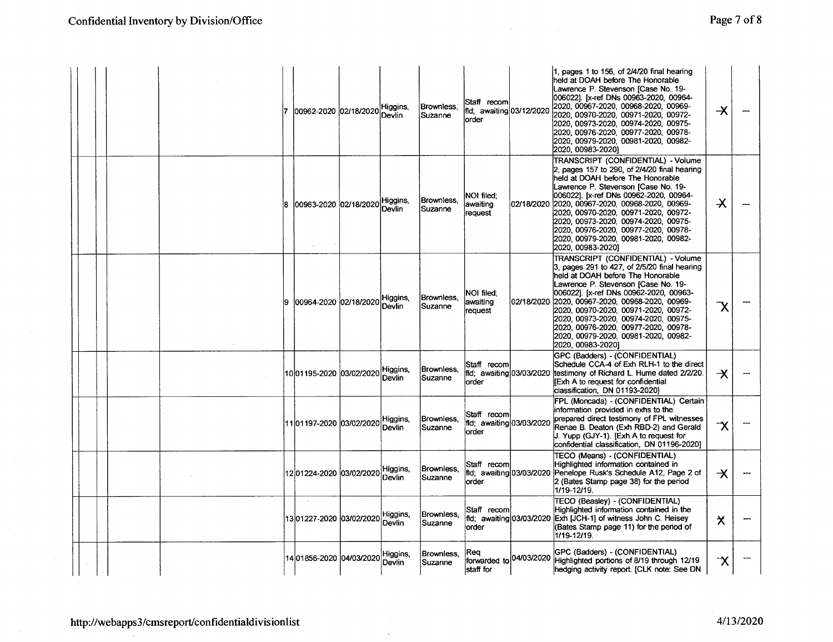|  |  |     | 00962-2020 02/18/2020          | Higgins,<br>Devlin | Brownless.<br>Suzanne | Staff recoml<br>fld: awaiting 03/12/2020<br>lorder  | 1, pages 1 to 156, of 2/4/20 final hearing<br>held at DOAH before The Honorable<br>Lawrence P. Stevenson [Case No. 19-<br>006022]. [x-ref DNs 00963-2020, 00964-<br> 2020, 00967-2020, 00968-2020, 00969-<br>2020, 00970-2020, 00971-2020, 00972-<br>2020, 00973-2020, 00974-2020, 00975-<br>2020, 00976-2020, 00977-2020, 00978-<br>2020.00979-2020.00981-2020.00982-<br>2020, 00983-2020)                                                        | $\overline{\mathsf{X}}$ |  |
|--|--|-----|--------------------------------|--------------------|-----------------------|-----------------------------------------------------|----------------------------------------------------------------------------------------------------------------------------------------------------------------------------------------------------------------------------------------------------------------------------------------------------------------------------------------------------------------------------------------------------------------------------------------------------|-------------------------|--|
|  |  | 18  | 00963-2020 02/18/2020 Higgins, |                    | Brownless.<br>Suzanne | NOI filed:<br>awaiting<br>request                   | TRANSCRIPT (CONFIDENTIAL) - Volume<br>2, pages 157 to 290, of 2/4/20 final hearing<br>held at DOAH before The Honorable<br>Lawrence P. Stevenson [Case No. 19-<br>0060221. [x-ref DNs 00962-2020, 00964-<br>02/18/2020 2020, 00967-2020, 00968-2020, 00969-<br>2020, 00970-2020, 00971-2020, 00972-<br>2020, 00973-2020, 00974-2020, 00975-<br> 2020.00976-2020.00977-2020.00978-<br>2020, 00979-2020, 00981-2020, 00982-<br>2020, 00983-2020)     | $\boldsymbol{\times}$   |  |
|  |  | I9. | 00964-2020 02/18/2020          | Higgins,<br>Devlin | Brownless.<br>Suzanne | <b>NOI filed:</b><br>awaiting<br>request            | TRANSCRIPT (CONFIDENTIAL) - Volume<br>3, pages 291 to 427, of 2/5/20 final hearing<br>held at DOAH before The Honorable<br>Lawrence P. Stevenson [Case No. 19-<br>006022]. [x-ref DNs 00962-2020, 00963-<br>02/18/2020 2020, 00967-2020, 00968-2020, 00969-<br>2020, 00970-2020, 00971-2020, 00972-<br> 2020, 00973-2020, 00974-2020, 00975-<br>2020, 00976-2020, 00977-2020, 00978-<br> 2020, 00979-2020, 00981-2020, 00982-<br>2020, 00983-2020] | X                       |  |
|  |  |     | 1001195-2020 03/02/2020        | Higgins,<br>Devlin | Brownless,<br>Suzanne | Staff recom<br>fld; awaiting 03/03/2020<br>lorder   | GPC (Badders) - (CONFIDENTIAL)<br>Schedule CCA-4 of Exh RLH-1 to the direct<br>testimony of Richard L. Hume dated 2/2/20.<br><b>IExh A to request for confidential</b><br>classification, DN 01193-2020)                                                                                                                                                                                                                                           | –X                      |  |
|  |  |     | 1101197-2020 03/02/2020        | Higgins,<br>Devlin | Brownless.<br>Suzanne | Staff recomi<br>fld; awaiting 03/03/2020<br>lorder  | FPL (Moncada) - (CONFIDENTIAL) Certain<br>information provided in exhs to the<br>prepared direct testimony of FPL witnesses<br>Renae B. Deaton (Exh RBD-2) and Gerald<br>J. Yupp (GJY-1). [Exh A to request for<br>confidential classification, DN 01196-2020]                                                                                                                                                                                     | $\boldsymbol \gamma$    |  |
|  |  |     | 1201224-2020 03/02/2020        | Higgins,<br>Devlin | Brownless.<br>Suzanne | lStaff recoml<br>fld; awaiting 03/03/2020<br>lorder | TECO (Means) - (CONFIDENTIAL)<br>Highlighted information contained in<br>Penelope Rusk's Schedule A12, Page 2 of<br>2 (Bates Stamp page 38) for the period<br>1/19-12/19.                                                                                                                                                                                                                                                                          | $\mathcal{X}$           |  |
|  |  |     | 13 01227-2020  03/02/2020      | Higgins,<br>Devlin | Brownless.<br>Suzanne | Staff recom<br>lorder                               | TECO (Beasley) - (CONFIDENTIAL)<br>Highlighted information contained in the<br>fld; awaiting 03/03/2020 Exh [JCH-1] of witness John C. Heisey<br>(Bates Stamp page 11) for the period of<br>1/19-12/19.                                                                                                                                                                                                                                            | $\star$                 |  |
|  |  |     | 14 01856-2020 04/03/2020       | Higgins,<br>Devlin | Brownless.<br>Suzanne | Rea<br>forwarded to 04/03/2020<br>staff for         | GPC (Badders) - (CONFIDENTIAL)<br>Highlighted portions of 8/19 through 12/19<br>hedging activity report. [CLK note: See DN                                                                                                                                                                                                                                                                                                                         | ่า∕                     |  |

 $\ddot{\phantom{1}}$